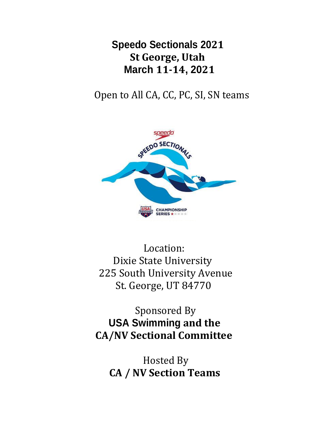**Speedo Sectionals 2021 St George, Utah March 11-14, 2021**

Open to All CA, CC, PC, SI, SN teams



 Location: Dixie State University 225 South University Avenue St. George, UT 84770

 Sponsored By **USA Swimming and the CA/NV Sectional Committee**

 Hosted By **CA / NV Section Teams**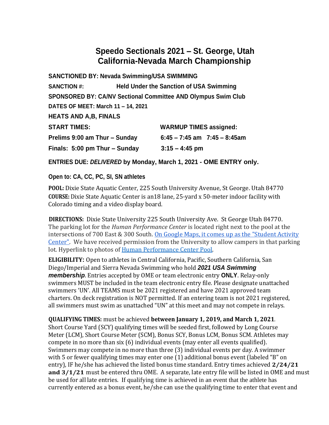# **Speedo Sectionals 2021 – St. George, Utah California-Nevada March Championship**

| SANCTIONED BY: Nevada Swimming/USA SWIMMING                          |                                                |                                   |  |  |  |
|----------------------------------------------------------------------|------------------------------------------------|-----------------------------------|--|--|--|
| <b>SANCTION #:</b>                                                   | <b>Held Under the Sanction of USA Swimming</b> |                                   |  |  |  |
| <b>SPONSORED BY: CA/NV Sectional Committee AND Olympus Swim Club</b> |                                                |                                   |  |  |  |
| DATES OF MEET: March 11 - 14, 2021                                   |                                                |                                   |  |  |  |
| <b>HEATS AND A, B, FINALS</b>                                        |                                                |                                   |  |  |  |
| <b>START TIMES:</b>                                                  |                                                | <b>WARMUP TIMES assigned:</b>     |  |  |  |
| Prelims 9:00 am Thur - Sunday                                        |                                                | $6:45 - 7:45$ am $7:45 - 8:45$ am |  |  |  |
| Finals: 5:00 pm Thur - Sunday<br>$3:15 - 4:45$ pm                    |                                                |                                   |  |  |  |

**ENTRIES** DUE: DELIVERED by Monday, March 1, 2021 - OME ENTRY only.

# **Open to: CA, CC, PC, SI, SN athletes**

**POOL:** Dixie State Aquatic Center, 225 South University Avenue, St George. Utah 84770 **COURSE:** Dixie State Aquatic Center is an18 lane, 25-yard x 50-meter indoor facility with Colorado timing and a video display board.

**DIRECTIONS:** Dixie State University 225 South University Ave. St George Utah 84770. The parking lot for the *Human Performance Center* is located right next to the pool at the intersections of 700 East & 300 South. On Google Maps, it comes up as the "Student Activity Center". We have received permission from the University to allow campers in that parking lot. Hyperlink to photos of Human Performance Center Pool.

**ELIGIBILITY:** Open to athletes in Central California, Pacific, Southern California, San Diego/Imperial and Sierra Nevada Swimming who hold *2021 USA Swimming membership*. Entries accepted by OME or team electronic entry **ONLY**. Relay-only swimmers MUST be included in the team electronic entry file. Please designate unattached swimmers 'UN'. All TEAMS must be 2021 registered and have 2021 approved team charters. On deck registration is NOT permitted. If an entering team is not 2021 registered, all swimmers must swim as unattached "UN" at this meet and may not compete in relays.

**QUALIFYING TIMES:** must be achieved **between January 1, 2019, and March 1, 2021**. Short Course Yard (SCY) qualifying times will be seeded first, followed by Long Course Meter (LCM), Short Course Meter (SCM), Bonus SCY, Bonus LCM, Bonus SCM. Athletes may compete in no more than six (6) individual events (may enter all events qualified). Swimmers may compete in no more than three (3) individual events per day. A swimmer with 5 or fewer qualifying times may enter one (1) additional bonus event (labeled "B" on entry), IF he/she has achieved the listed bonus time standard. Entry times achieved **2/24/21 and 3/1/21** must be entered thru OME. A separate, late entry file will be listed in OME and must be used for all late entries. If qualifying time is achieved in an event that the athlete has currently entered as a bonus event, he/she can use the qualifying time to enter that event and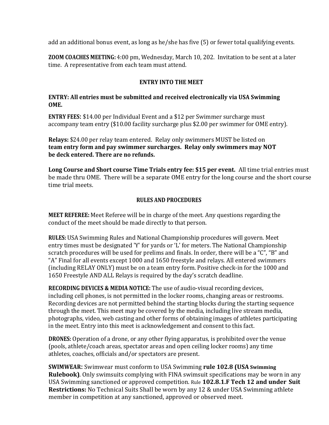add an additional bonus event, as long as he/she has five (5) or fewer total qualifying events.

**ZOOM COACHES MEETING:** 4:00 pm, Wednesday, March 10, 202. Invitation to be sent at a later time. A representative from each team must attend.

### **ENTRY INTO THE MEET**

### **ENTRY: All entries must be submitted and received electronically via USA Swimming OME.**

**ENTRY FEES:** \$14.00 per Individual Event and a \$12 per Swimmer surcharge must accompany team entry (\$10.00 facility surcharge plus \$2.00 per swimmer for OME entry).

**Relays:** \$24.00 per relay team entered. Relay only swimmers MUST be listed on **team entry form and pay swimmer surcharges. Relay only swimmers may NOT be deck entered. There are no refunds.**

**Long Course and Short course Time Trials entry fee: \$15 per event.** All time trial entries must be made thru OME. There will be a separate OME entry for the long course and the short course time trial meets.

### **RULES AND PROCEDURES**

**MEET REFEREE:** Meet Referee will be in charge of the meet. Any questions regarding the conduct of the meet should be made directly to that person.

**RULES:** USA Swimming Rules and National Championship procedures will govern. Meet entry times must be designated 'Y' for yards or 'L' for meters. The National Championship scratch procedures will be used for prelims and finals. In order, there will be a "C", "B" and "A" Final for all events except 1000 and 1650 freestyle and relays. All entered swimmers (including RELAY ONLY) must be on a team entry form. Positive check-in for the 1000 and 1650 Freestyle AND ALL Relays is required by the day's scratch deadline.

**RECORDING DEVICES & MEDIA NOTICE:** The use of audio-visual recording devices, including cell phones, is not permitted in the locker rooms, changing areas or restrooms. Recording devices are not permitted behind the starting blocks during the starting sequence through the meet. This meet may be covered by the media, including live stream media, photographs, video, web casting and other forms of obtaining images of athletes participating in the meet. Entry into this meet is acknowledgement and consent to this fact.

**DRONES:** Operation of a drone, or any other flying apparatus, is prohibited over the venue (pools, athlete/coach areas, spectator areas and open ceiling locker rooms) any time athletes, coaches, officials and/or spectators are present.

**SWIMWEAR:** Swimwear must conform to USA Swimming **rule 102.8 (USA Swimming Rulebook)**. Only swimsuits complying with FINA swimsuit specifications may be worn in any USA Swimming sanctioned or approved competition. Rule **102.8.1.F Tech 12 and under Suit Restrictions:** No Technical Suits Shall be worn by any 12 & under USA Swimming athlete member in competition at any sanctioned, approved or observed meet.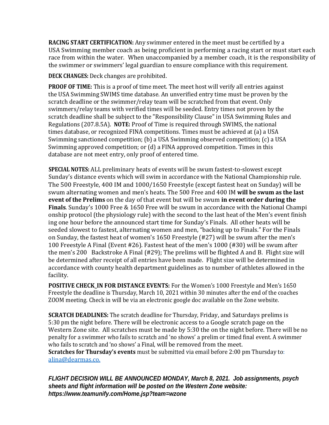**RACING START CERTIFICATION:** Any swimmer entered in the meet must be certified by a USA Swimming member coach as being proficient in performing a racing start or must start each race from within the water. When unaccompanied by a member coach, it is the responsibility of the swimmer or swimmers' legal guardian to ensure compliance with this requirement.

**DECK CHANGES:** Deck changes are prohibited.

**PROOF OF TIME:** This is a proof of time meet. The meet host will verify all entries against the USA Swimming SWIMS time database. An unverified entry time must be proven by the scratch deadline or the swimmer/relay team will be scratched from that event. Only swimmers/relay teams with verified times will be seeded. Entry times not proven by the scratch deadline shall be subject to the "Responsibility Clause" in USA Swimming Rules and Regulations (207.8.5A). **NOTE:** Proof of Time is required through SWIMS, the national times database, or recognized FINA competitions. Times must be achieved at (a) a USA Swimming sanctioned competition; (b) a USA Swimming observed competition; (c) a USA Swimming approved competition; or (d) a FINA approved competition. Times in this database are not meet entry, only proof of entered time.

**SPECIAL NOTES:** ALL preliminary heats of events will be swum fastest-to-slowest except Sunday's distance events which will swim in accordance with the National Championship rule. The 500 Freestyle, 400 IM and 1000/1650 Freestyle (except fastest heat on Sunday) will be swum alternating women and men's heats. The 500 Free and 400 IM **will be swum as the last event of the Prelims** on the day of that event but will be swum **in event order during the Finals**. Sunday's 1000 Free & 1650 Free will be swum in accordance with the National Champi onship protocol (the physiology rule) with the second to the last heat of the Men's event finish ing one hour before the announced start time for Sunday's Finals. All other heats will be seeded slowest to fastest, alternating women and men, "backing up to Finals." For the Finals on Sunday, the fastest heat of women's 1650 Freestyle (#27) will be swum after the men's 100 Freestyle A Final (Event #26). Fastest heat of the men's 1000 (#30) will be swum after the men's 200 Backstroke A Final (#29); The prelims will be flighted A and B. Flight size will be determined after receipt of all entries have been made. Flight size will be determined in accordance with county health department guidelines as to number of athletes allowed in the facility.

**POSITIVE CHECK\_IN FOR DISTANCE EVENTS:** For the Women's 1000 Freestyle and Men's 1650 Freestyle the deadline is Thursday, March 10, 2021 within 30 minutes after the end of the coaches ZOOM meeting. Check in will be via an electronic google doc available on the Zone website.

**SCRATCH DEADLINES:** The scratch deadline for Thursday, Friday, and Saturdays prelims is 5:30 pm the night before. There will be electronic access to a Google scratch page on the Western Zone site. All scratches must be made by 5:30 the on the night before. There will be no penalty for a swimmer who fails to scratch and 'no shows' a prelim or timed final event. A swimmer who fails to scratch and 'no shows' a Final, will be removed from the meet. **Scratches for Thursday's events** must be submitted via email before 2:00 pm Thursday to: alina@dearmas.co.

*FLIGHT DECISION WILL BE ANNOUNCED MONDAY, March 8, 2021. Job assignments, psych sheets and flight information will be posted on the Western Zone website: https://www.teamunify.com/Home.jsp?team=wzone*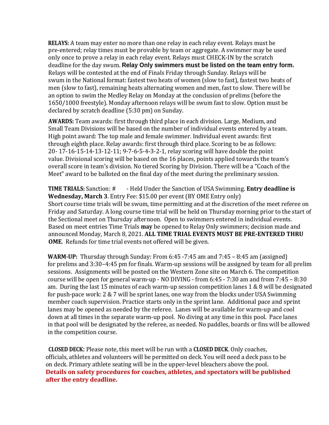**RELAYS:** A team may enter no more than one relay in each relay event. Relays must be pre-entered; relay times must be provable by team or aggregate. A swimmer may be used only once to prove a relay in each relay event. Relays must CHECK-IN by the scratch deadline for the day swum. **Relay Only swimmers must be listed on the team entry form.** Relays will be contested at the end of Finals Friday through Sunday. Relays will be swum in the National format: fastest two heats of women (slow to fast), fastest two heats of men (slow to fast), remaining heats alternating women and men, fast to slow. There will be an option to swim the Medley Relay on Monday at the conclusion of prelims (before the 1650/1000 freestyle). Monday afternoon relays will be swum fast to slow. Option must be declared by scratch deadline (5:30 pm) on Sunday.

**AWARDS:** Team awards: first through third place in each division. Large, Medium, and Small Team Divisions will be based on the number of individual events entered by a team. High point award: The top male and female swimmer. Individual event awards: first through eighth place. Relay awards: first through third place. Scoring to be as follows: 20- 17-16-15-14-13-12-11; 9-7-6-5-4-3-2-1, relay scoring will have double the point value. Divisional scoring will be based on the 16 places, points applied towards the team's overall score in team's division. No tiered Scoring by Division. There will be a "Coach of the Meet" award to be balloted on the final day of the meet during the preliminary session.

**TIME TRIALS:** Sanction: # - Held Under the Sanction of USA Swimming. **Entry deadline is Wednesday, March 3**. Entry Fee: \$15.00 per event (BY OME Entry only) Short course time trials will be swum, time permitting and at the discretion of the meet referee on Friday and Saturday. A long course time trial will be held on Thursday morning prior to the start of the Sectional meet on Thursday afternoon. Open to swimmers entered in individual events. Based on meet entries Time Trials **may** be opened to Relay Only swimmers; decision made and announced Monday, March 8, 2021. **ALL TIME TRIAL EVENTS MUST BE PRE-ENTERED THRU OME**. Refunds for time trial events not offered will be given.

**WARM-UP:** Thursday through Sunday: From 6:45 -7:45 am and 7:45 – 8:45 am (assigned) for prelims and 3:30–4:45 pm for finals. Warm-up sessions will be assigned by team for all prelim sessions. Assignments will be posted on the Western Zone site on March 6. The competition course will be open for general warm-up - NO DIVING - from 6:45 - 7:30 am and from 7:45 – 8:30 am. During the last 15 minutes of each warm-up session competition lanes 1 & 8 will be designated for push-pace work: 2 & 7 will be sprint lanes, one way from the blocks under USA Swimming member coach supervision. Practice starts only in the sprint lane. Additional pace and sprint lanes may be opened as needed by the referee. Lanes will be available for warm-up and cool down at all times in the separate warm-up pool. No diving at any time in this pool. Pace lanes in that pool will be designated by the referee, as needed. No paddles, boards or fins will be allowed in the competition course.

**CLOSED DECK:** Please note, this meet will be run with a **CLOSED DECK**. Only coaches, officials, athletes and volunteers will be permitted on deck. You will need a deck pass to be on deck. Primary athlete seating will be in the upper-level bleachers above the pool. **Details on safety procedures for coaches, athletes, and spectators will be published after the entry deadline.**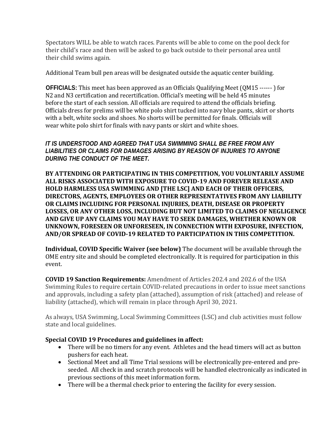Spectators WILL be able to watch races. Parents will be able to come on the pool deck for their child's race and then will be asked to go back outside to their personal area until their child swims again.

Additional Team bull pen areas will be designated outside the aquatic center building.

**OFFICIALS:** This meet has been approved as an Officials Qualifying Meet (QM15 ------ ) for N2 and N3 certification and recertification. Official's meeting will be held 45 minutes before the start of each session. All officials are required to attend the officials briefing. Officials dress for prelims will be white polo shirt tucked into navy blue pants, skirt or shorts with a belt, white socks and shoes. No shorts will be permitted for finals. Officials will wear white polo shirt for finals with navy pants or skirt and white shoes.

# *IT IS UNDERSTOOD AND AGREED THAT USA SWIMMING SHALL BE FREE FROM ANY LIABILITIES OR CLAIMS FOR DAMAGES ARISING BY REASON OF INJURIES TO ANYONE DURING THE CONDUCT OF THE MEET.*

**BY ATTENDING OR PARTICIPATING IN THIS COMPETITION, YOU VOLUNTARILY ASSUME ALL RISKS ASSOCIATED WITH EXPOSURE TO COVID-19 AND FOREVER RELEASE AND HOLD HARMLESS USA SWIMMING AND [THE LSC] AND EACH OF THEIR OFFICERS, DIRECTORS, AGENTS, EMPLOYEES OR OTHER REPRESENTATIVES FROM ANY LIABILITY OR CLAIMS INCLUDING FOR PERSONAL INJURIES, DEATH, DISEASE OR PROPERTY LOSSES, OR ANY OTHER LOSS, INCLUDING BUT NOT LIMITED TO CLAIMS OF NEGLIGENCE AND GIVE UP ANY CLAIMS YOU MAY HAVE TO SEEK DAMAGES, WHETHER KNOWN OR UNKNOWN, FORESEEN OR UNFORESEEN, IN CONNECTION WITH EXPOSURE, INFECTION, AND/OR SPREAD OF COVID-19 RELATED TO PARTICIPATION IN THIS COMPETITION.**

**Individual, COVID Specific Waiver (see below)** The document will be available through the OME entry site and should be completed electronically. It is required for participation in this event.

**COVID 19 Sanction Requirements:** Amendment of Articles 202.4 and 202.6 of the USA Swimming Rules to require certain COVID-related precautions in order to issue meet sanctions and approvals, including a safety plan (attached), assumption of risk (attached) and release of liability (attached), which will remain in place through April 30, 2021.

As always, USA Swimming, Local Swimming Committees (LSC) and club activities must follow state and local guidelines.

# **Special COVID 19 Procedures and guidelines in affect:**

- There will be no timers for any event. Athletes and the head timers will act as button pushers for each heat.
- Sectional Meet and all Time Trial sessions will be electronically pre-entered and preseeded. All check in and scratch protocols will be handled electronically as indicated in previous sections of this meet information form.
- There will be a thermal check prior to entering the facility for every session.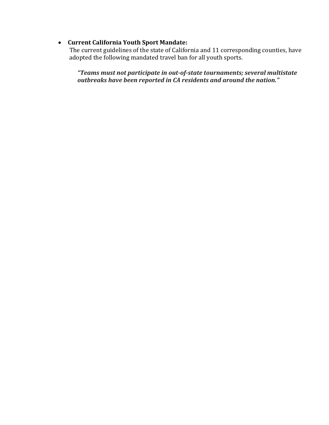# • **Current California Youth Sport Mandate:**

 The current guidelines of the state of California and 11 corresponding counties, have adopted the following mandated travel ban for all youth sports.

*"Teams must not participate in out-of-state tournaments; several multistate outbreaks have been reported in CA residents and around the nation."*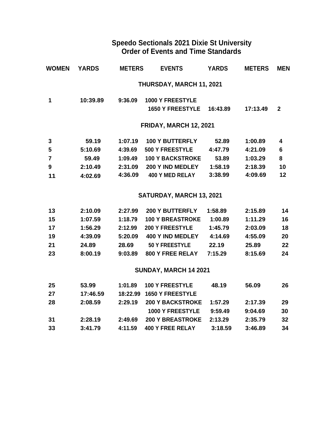# **Speedo Sectionals 2021 Dixie St University Order of Events and Time Standards**

| WOMEN | <b>YARDS</b> | <b>METERS</b> | <b>EVENTS</b>            | <b>YARDS</b> | <b>METERS</b> | <b>MEN</b>   |
|-------|--------------|---------------|--------------------------|--------------|---------------|--------------|
|       |              |               | THURSDAY, MARCH 11, 2021 |              |               |              |
| 1     | 10:39.89     | 9:36.09       | <b>1000 Y FREESTYLE</b>  |              |               |              |
|       |              |               | <b>1650 Y FREESTYLE</b>  | 16:43.89     | 17:13.49      | $\mathbf{2}$ |
|       |              |               | FRIDAY, MARCH 12, 2021   |              |               |              |
| 3     | 59.19        | 1:07.19       | <b>100 Y BUTTERFLY</b>   | 52.89        | 1:00.89       | 4            |
| 5     | 5:10.69      | 4:39.69       | <b>500 Y FREESTYLE</b>   | 4:47.79      | 4:21.09       | 6            |
| 7     | 59.49        | 1:09.49       | <b>100 Y BACKSTROKE</b>  | 53.89        | 1:03.29       | 8            |
| 9     | 2:10.49      | 2:31.09       | 200 Y IND MEDLEY         | 1:58.19      | 2:18.39       | 10           |

# **SATURDAY, MARCH 13, 2021**

| 13 | 2:10.09 | 2:27.99 | <b>200 Y BUTTERFLY</b>  | 1:58.89 | 2:15.89 | 14 |
|----|---------|---------|-------------------------|---------|---------|----|
| 15 | 1:07.59 | 1:18.79 | <b>100 Y BREASTROKE</b> | 1:00.89 | 1:11.29 | 16 |
| 17 | 1:56.29 | 2:12.99 | <b>200 Y FREESTYLE</b>  | 1:45.79 | 2:03.09 | 18 |
| 19 | 4:39.09 | 5:20.09 | 400 Y IND MEDLEY        | 4:14.69 | 4:55.09 | 20 |
| 21 | 24.89   | 28.69   | <b>50 Y FREESTYLE</b>   | 22.19   | 25.89   | 22 |
| 23 | 8:00.19 | 9:03.89 | <b>800 Y FREE RELAY</b> | 7:15.29 | 8:15.69 | 24 |

**4:02.69 4:36.09 400 Y MED RELAY 3:38.99 4:09.69 12**

# **SUNDAY, MARCH 14 2021**

| 25 | 53.99    | 1:01.89 | <b>100 Y FREESTYLE</b>    | 48.19   | 56.09   | 26 |
|----|----------|---------|---------------------------|---------|---------|----|
| 27 | 17:46.59 |         | 18:22.99 1650 Y FREESTYLE |         |         |    |
| 28 | 2:08.59  | 2:29.19 | <b>200 Y BACKSTROKE</b>   | 1:57.29 | 2:17.39 | 29 |
|    |          |         | <b>1000 Y FREESTYLE</b>   | 9:59.49 | 9:04.69 | 30 |
| 31 | 2:28.19  | 2:49.69 | <b>200 Y BREASTROKE</b>   | 2:13.29 | 2:35.79 | 32 |
| 33 | 3:41.79  | 4:11.59 | <b>400 Y FREE RELAY</b>   | 3:18.59 | 3:46.89 | 34 |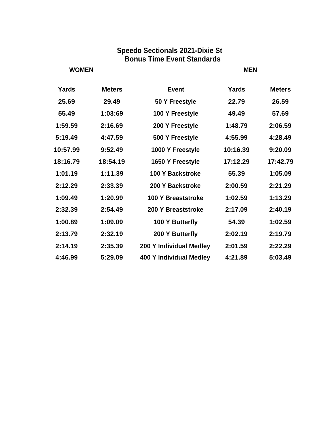# **Speedo Sectionals 2021-Dixie St Bonus Time Event Standards**

# **WOMEN MEN**

| <b>Yards</b> | <b>Meters</b> | <b>Event</b>                   | <b>Yards</b> | <b>Meters</b> |
|--------------|---------------|--------------------------------|--------------|---------------|
| 25.69        | 29.49         | 50 Y Freestyle                 | 22.79        | 26.59         |
| 55.49        | 1:03:69       | 100 Y Freestyle                | 49.49        | 57.69         |
| 1:59.59      | 2:16.69       | 200 Y Freestyle                | 1:48.79      | 2:06.59       |
| 5:19.49      | 4:47.59       | 500 Y Freestyle                | 4:55.99      | 4:28.49       |
| 10:57.99     | 9:52.49       | 1000 Y Freestyle               | 10:16.39     | 9:20.09       |
| 18:16.79     | 18:54.19      | 1650 Y Freestyle               | 17:12.29     | 17:42.79      |
| 1:01.19      | 1:11.39       | 100 Y Backstroke               | 55.39        | 1:05.09       |
| 2:12.29      | 2:33.39       | 200 Y Backstroke               | 2:00.59      | 2:21.29       |
| 1:09.49      | 1:20.99       | <b>100 Y Breaststroke</b>      | 1:02.59      | 1:13.29       |
| 2:32.39      | 2:54.49       | 200 Y Breaststroke             | 2:17.09      | 2:40.19       |
| 1:00.89      | 1:09.09       | 100 Y Butterfly                | 54.39        | 1:02.59       |
| 2:13.79      | 2:32.19       | 200 Y Butterfly                | 2:02.19      | 2:19.79       |
| 2:14.19      | 2:35.39       | 200 Y Individual Medley        | 2:01.59      | 2:22.29       |
| 4:46.99      | 5:29.09       | <b>400 Y Individual Medley</b> | 4:21.89      | 5:03.49       |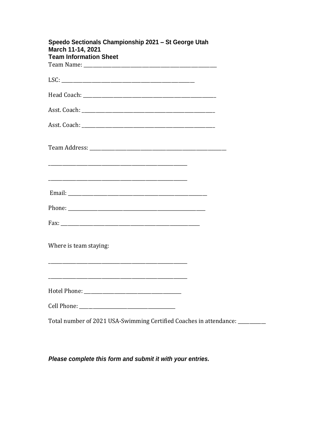| Speedo Sectionals Championship 2021 - St George Utah<br>March 11-14, 2021<br><b>Team Information Sheet</b> |  |
|------------------------------------------------------------------------------------------------------------|--|
|                                                                                                            |  |
|                                                                                                            |  |
|                                                                                                            |  |
|                                                                                                            |  |
|                                                                                                            |  |
|                                                                                                            |  |
|                                                                                                            |  |
|                                                                                                            |  |
|                                                                                                            |  |
| Where is team staying:                                                                                     |  |
|                                                                                                            |  |
|                                                                                                            |  |
|                                                                                                            |  |
| Total number of 2021 USA-Swimming Certified Coaches in attendance: _____                                   |  |

Please complete this form and submit it with your entries.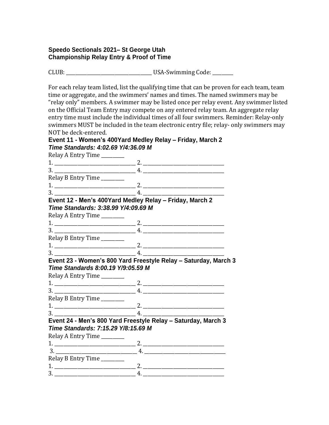### **Speedo Sectionals 2021– St George Utah Championship Relay Entry & Proof of Time**

CLUB: \_\_\_\_\_\_\_\_\_\_\_\_\_\_\_\_\_\_\_\_\_\_\_\_\_\_\_\_\_\_\_\_\_\_\_\_\_ USA-Swimming Code: \_\_\_\_\_\_\_\_\_

For each relay team listed, list the qualifying time that can be proven for each team, team time or aggregate, and the swimmers' names and times. The named swimmers may be "relay only" members. A swimmer may be listed once per relay event. Any swimmer listed on the Official Team Entry may compete on any entered relay team. An aggregate relay entry time must include the individual times of all four swimmers. Reminder: Relay-only swimmers MUST be included in the team electronic entry file; relay- only swimmers may NOT be deck-entered.

#### **Event 11 - Women's 400Yard Medley Relay – Friday, March 2** *Time Standards: 4:02.69 Y/4:36.09 M*

Relay A Entry Time \_\_\_\_\_\_\_\_ 1. \_\_\_\_\_\_\_\_\_\_\_\_\_\_\_\_\_\_\_\_\_\_\_\_\_\_\_\_\_\_\_\_\_\_\_ 2. \_\_\_\_\_\_\_\_\_\_\_\_\_\_\_\_\_\_\_\_\_\_\_\_\_\_\_\_\_\_\_\_\_\_\_  $3.$ Relay B Entry Time \_\_\_\_\_\_\_\_\_\_ 1. \_\_\_\_\_\_\_\_\_\_\_\_\_\_\_\_\_\_\_\_\_\_\_\_\_\_\_\_\_\_\_\_\_\_\_ 2. \_\_\_\_\_\_\_\_\_\_\_\_\_\_\_\_\_\_\_\_\_\_\_\_\_\_\_\_\_\_\_\_\_\_\_ 3. \_\_\_\_\_\_\_\_\_\_\_\_\_\_\_\_\_\_\_\_\_\_\_\_\_\_\_\_\_\_\_\_\_\_\_ 4. \_\_\_\_\_\_\_\_\_\_\_\_\_\_\_\_\_\_\_\_\_\_\_\_\_\_\_\_\_\_\_\_\_\_\_ **Event 12 - Men's 400Yard Medley Relay – Friday, March 2** *Time Standards: 3:38.99 Y/4:09.69 M* Relay A Entry Time \_\_\_\_\_\_\_\_\_\_ 1. \_\_\_\_\_\_\_\_\_\_\_\_\_\_\_\_\_\_\_\_\_\_\_\_\_\_\_\_\_\_\_\_\_\_\_ 2. \_\_\_\_\_\_\_\_\_\_\_\_\_\_\_\_\_\_\_\_\_\_\_\_\_\_\_\_\_\_\_\_\_\_\_ 3. \_\_\_\_\_\_\_\_\_\_\_\_\_\_\_\_\_\_\_\_\_\_\_\_\_\_\_\_\_\_\_\_\_\_\_ 4. \_\_\_\_\_\_\_\_\_\_\_\_\_\_\_\_\_\_\_\_\_\_\_\_\_\_\_\_\_\_\_\_\_\_\_ Relay B Entry Time \_\_\_\_\_\_\_\_\_\_ 1. \_\_\_\_\_\_\_\_\_\_\_\_\_\_\_\_\_\_\_\_\_\_\_\_\_\_\_\_\_\_\_\_\_\_\_ 2. \_\_\_\_\_\_\_\_\_\_\_\_\_\_\_\_\_\_\_\_\_\_\_\_\_\_\_\_\_\_\_\_\_\_\_  $\frac{1}{4}$ . **Event 23 - Women's 800 Yard Freestyle Relay – Saturday, March 3** *Time Standards 8:00.19 Y/9:05.59 M* Relay A Entry Time \_\_\_\_\_\_\_\_\_\_ 1. \_\_\_\_\_\_\_\_\_\_\_\_\_\_\_\_\_\_\_\_\_\_\_\_\_\_\_\_\_\_\_\_\_\_\_ 2. \_\_\_\_\_\_\_\_\_\_\_\_\_\_\_\_\_\_\_\_\_\_\_\_\_\_\_\_\_\_\_\_\_\_\_  $3.$   $4.$   $2.$ Relay B Entry Time \_\_\_\_\_\_\_\_\_\_ 1. \_\_\_\_\_\_\_\_\_\_\_\_\_\_\_\_\_\_\_\_\_\_\_\_\_\_\_\_\_\_\_\_\_\_\_ 2. \_\_\_\_\_\_\_\_\_\_\_\_\_\_\_\_\_\_\_\_\_\_\_\_\_\_\_\_\_\_\_\_\_\_\_  $3. \t\t 4.$ **Event 24 - Men's 800 Yard Freestyle Relay – Saturday, March 3** *Time Standards: 7:15.29 Y/8:15.69 M* Relay A Entry Time \_\_\_\_\_\_\_\_\_\_ 1. \_\_\_\_\_\_\_\_\_\_\_\_\_\_\_\_\_\_\_\_\_\_\_\_\_\_\_\_\_\_\_\_\_\_\_ 2. \_\_\_\_\_\_\_\_\_\_\_\_\_\_\_\_\_\_\_\_\_\_\_\_\_\_\_\_\_\_\_\_\_\_\_  $3. \t4.$ Relay B Entry Time \_\_\_\_\_\_\_\_\_\_  $1.$   $2.$ 3. \_\_\_\_\_\_\_\_\_\_\_\_\_\_\_\_\_\_\_\_\_\_\_\_\_\_\_\_\_\_\_\_\_\_\_ 4. \_\_\_\_\_\_\_\_\_\_\_\_\_\_\_\_\_\_\_\_\_\_\_\_\_\_\_\_\_\_\_\_\_\_\_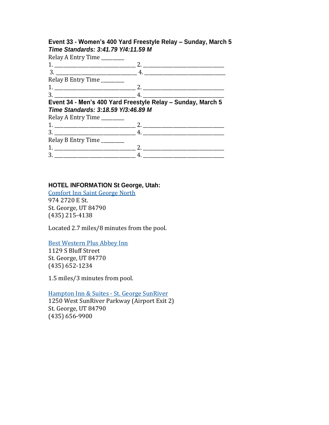### **Event 33 - Women's 400 Yard Freestyle Relay – Sunday, March 5** *Time Standards: 3:41.79 Y/4:11.59 M*

Relay A Entry Time \_\_\_\_\_\_\_\_\_\_

| $mciay$ is the $y$ inner $\frac{1}{2}$ |                                                             |  |
|----------------------------------------|-------------------------------------------------------------|--|
|                                        |                                                             |  |
|                                        |                                                             |  |
| Relay B Entry Time                     |                                                             |  |
|                                        |                                                             |  |
|                                        |                                                             |  |
|                                        |                                                             |  |
|                                        |                                                             |  |
| Time Standards: 3:18.59 Y/3:46.89 M    | Event 34 - Men's 400 Yard Freestyle Relay - Sunday, March 5 |  |
|                                        |                                                             |  |
| Relay A Entry Time                     |                                                             |  |
|                                        |                                                             |  |
| Relay B Entry Time                     |                                                             |  |
|                                        |                                                             |  |

### **HOTEL INFORMATION St George, Utah:**

Comfort Inn Saint George North 974 2720 E St. St. George, UT 84790 (435) 215-4138

Located 2.7 miles/8 minutes from the pool.

Best Western Plus Abbey Inn

1129 S Bluff Street St. George, UT 84770 (435) 652-1234

1.5 miles/3 minutes from pool.

Hampton Inn & Suites - St. George SunRiver 1250 West SunRiver Parkway (Airport Exit 2) St. George, UT 84790 (435) 656-9900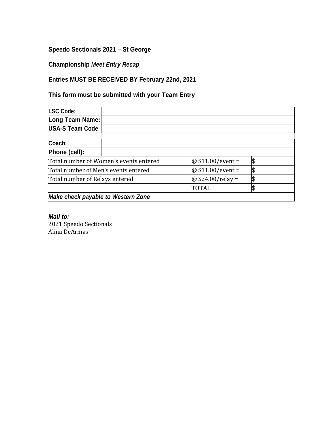# **Speedo Sectionals 2021 – St George**

# **Championship** *Meet Entry Recap*

# **Entries MUST BE RECEIVED BY February 22nd, 2021**

# **This form must be submitted with your Team Entry**

| <b>LSC Code:</b>                          |                                        |                    |     |
|-------------------------------------------|----------------------------------------|--------------------|-----|
| <b>Long Team Name:</b>                    |                                        |                    |     |
| <b>USA-S Team Code</b>                    |                                        |                    |     |
| Coach:                                    |                                        |                    |     |
| Phone (cell):                             |                                        |                    |     |
|                                           | Total number of Women's events entered | @ $$11.00/event =$ | \$  |
| Total number of Men's events entered      |                                        | @ $$11.00/event =$ | \$  |
| Total number of Relays entered            |                                        | @ $$24.00/relay =$ | \$  |
|                                           |                                        | TOTAL              | 1\$ |
| <b>Make check payable to Western Zone</b> |                                        |                    |     |

### *Mail to:* 2021 Speedo Sectionals Alina DeArmas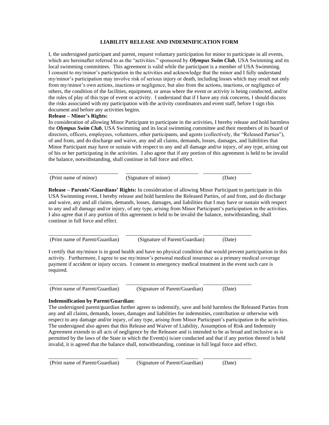#### **LIABILITY RELEASE AND INDEMNIFICATION FORM**

I, the undersigned participant and parent, request voluntary participation for minor to participate in all events, which are hereinafter referred to as the "activities." sponsored by *Olympus Swim Club*, USA Swimming and its local swimming committees. This agreement is valid while the participant is a member of USA Swimming. I consent to my/minor's participation in the activities and acknowledge that the minor and I fully understand my/minor's participation may involve risk of serious injury or death, including losses which may result not only from my/minor's own actions, inactions or negligence, but also from the actions, inactions, or negligence of others, the condition of the facilities, equipment, or areas where the event or activity is being conducted, and/or the rules of play of this type of event or activity. I understand that if I have any risk concerns, I should discuss the risks associated with my participation with the activity coordinators and event staff, before I sign this document and before any activities begins.

#### **Release – Minor's Rights:**

In consideration of allowing Minor Participant to participate in the activities, I hereby release and hold harmless the *Olympus Swim Club*, USA Swimming and its local swimming committee and their members of its board of directors, officers, employees, volunteers, other participants, and agents (collectively, the "Released Parties"), of and from, and do discharge and waive, any and all claims, demands, losses, damages, and liabilities that Minor Participant may have or sustain with respect to any and all damage and/or injury, of any type, arising out of his or her participating in the activities. I also agree that if any portion of this agreement is held to be invalid the balance, notwithstanding, shall continue in full force and effect.

\_\_\_\_\_\_\_\_\_\_\_\_\_\_\_\_\_\_\_\_\_\_\_\_\_\_ \_\_\_\_\_\_\_\_\_\_\_\_\_\_\_\_\_\_\_\_\_\_\_\_\_\_\_ \_\_\_\_\_\_\_\_\_\_\_\_\_\_\_\_\_\_ (Print name of minor) (Signature of minor) (Date)

**Release – Parents'/Guardians' Rights:** In consideration of allowing Minor Participant to participate in this USA Swimming event, I hereby release and hold harmless the Released Parties, of and from, and do discharge and waive, any and all claims, demands, losses, damages, and liabilities that I may have or sustain with respect to any and all damage and/or injury, of any type, arising from Minor Participant's participation in the activities. I also agree that if any portion of this agreement is held to be invalid the balance, notwithstanding, shall continue in full force and effect.

\_\_\_\_\_\_\_\_\_\_\_\_\_\_\_\_\_\_\_\_\_\_\_\_\_\_ \_\_\_\_\_\_\_\_\_\_\_\_\_\_\_\_\_\_\_\_\_\_\_\_\_\_\_ \_\_\_\_\_\_\_\_\_\_\_\_\_\_\_\_\_\_ (Print name of Parent/Guardian) (Signature of Parent/Guardian) (Date)

I certify that my/minor is in good health and have no physical condition that would prevent participation in this activity. Furthermore, I agree to use my/minor's personal medical insurance as a primary medical coverage payment if accident or injury occurs. I consent to emergency medical treatment in the event such care is required.

(Print name of Parent/Guardian) (Signature of Parent/Guardian) (Date)

\_\_\_\_\_\_\_\_\_\_\_\_\_\_\_\_\_\_\_\_\_\_\_\_\_\_ \_\_\_\_\_\_\_\_\_\_\_\_\_\_\_\_\_\_\_\_\_\_\_\_\_\_\_ \_\_\_\_\_\_\_\_\_\_\_\_\_\_\_\_\_\_

\_\_\_\_\_\_\_\_\_\_\_\_\_\_\_\_\_\_\_\_\_\_\_\_\_\_ \_\_\_\_\_\_\_\_\_\_\_\_\_\_\_\_\_\_\_\_\_\_\_\_\_\_\_ \_\_\_\_\_\_\_\_\_\_\_\_\_\_\_\_\_\_

#### **Indemnification by Parent/Guardian:**

The undersigned parent/guardian further agrees to indemnify, save and hold harmless the Released Parties from any and all claims, demands, losses, damages and liabilities for indemnities, contribution or otherwise with respect to any damage and/or injury, of any type, arising from Minor Participant's participation in the activities. The undersigned also agrees that this Release and Waiver of Liability, Assumption of Risk and Indemnity Agreement extends to all acts of negligence by the Releasee and is intended to be as broad and inclusive as is permitted by the laws of the State in which the Event(s) is/are conducted and that if any portion thereof is held invalid, it is agreed that the balance shall, notwithstanding, continue in full legal force and effect.